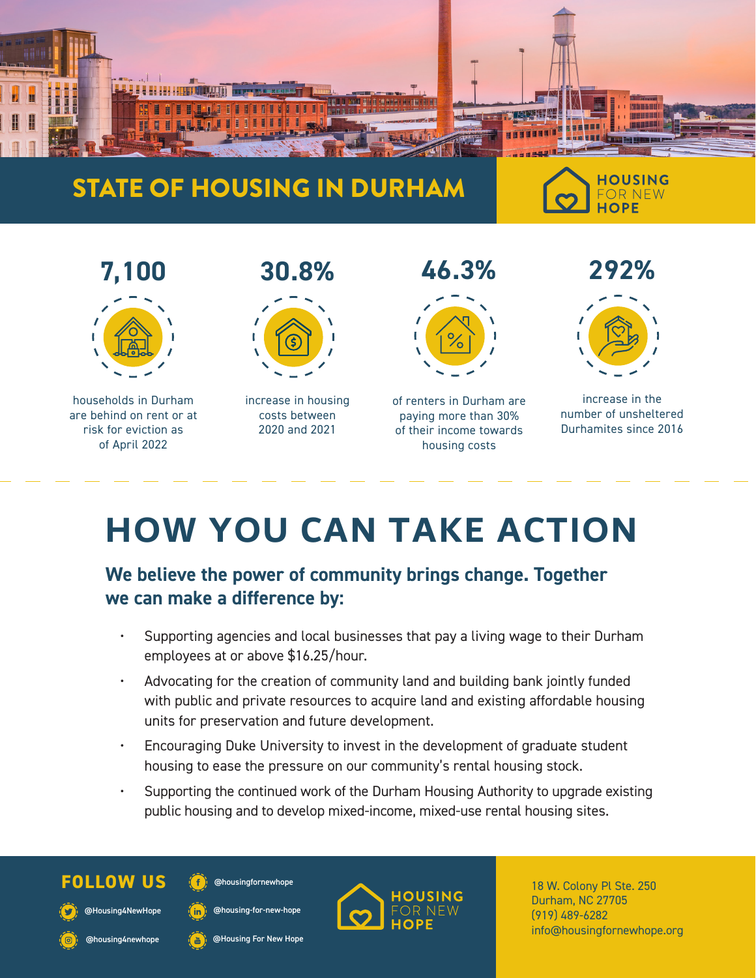

## STATE OF HOUSING IN DURHAM

**HOUSING FOR NEW** HOPF



# **HOW YOU CAN TAKE ACTION**

### **We believe the power of community brings change. Together we can make a difference by:**

- Supporting agencies and local businesses that pay a living wage to their Durham employees at or above \$16.25/hour.
- Advocating for the creation of community land and building bank jointly funded with public and private resources to acquire land and existing affordable housing units for preservation and future development.
- Encouraging Duke University to invest in the development of graduate student housing to ease the pressure on our community's rental housing stock.
- Supporting the continued work of the Durham Housing Authority to upgrade existing public housing and to develop mixed-income, mixed-use rental housing sites.



@Housing4NewHope

@housing4newhope

@housingfornewhope

@housing-for-new-hope

@Housing For New Hope



Durham, NC 27705 (919) 489-6282 info@housingfornewhope.org